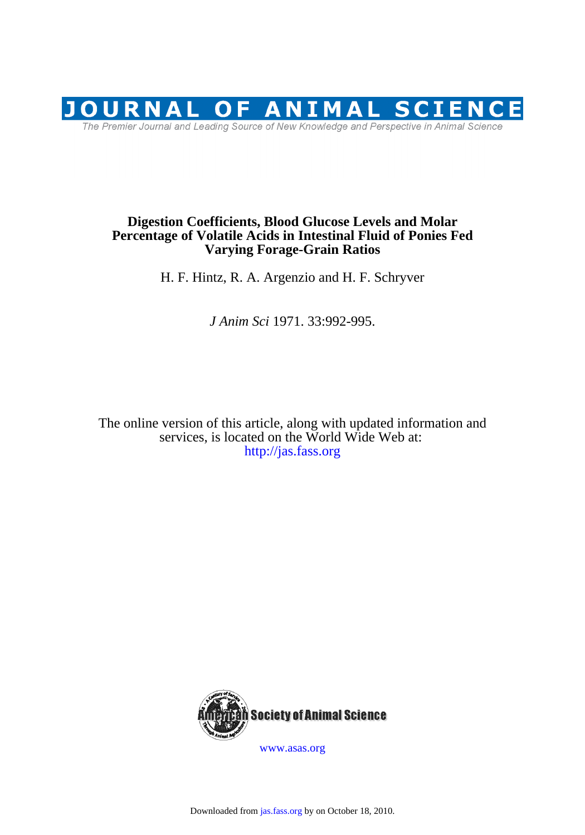

# **Varying Forage-Grain Ratios Percentage of Volatile Acids in Intestinal Fluid of Ponies Fed Digestion Coefficients, Blood Glucose Levels and Molar**

H. F. Hintz, R. A. Argenzio and H. F. Schryver

*J Anim Sci* 1971. 33:992-995.

<http://jas.fass.org> services, is located on the World Wide Web at: The online version of this article, along with updated information and



[www.asas.org](http://www.asas.org/)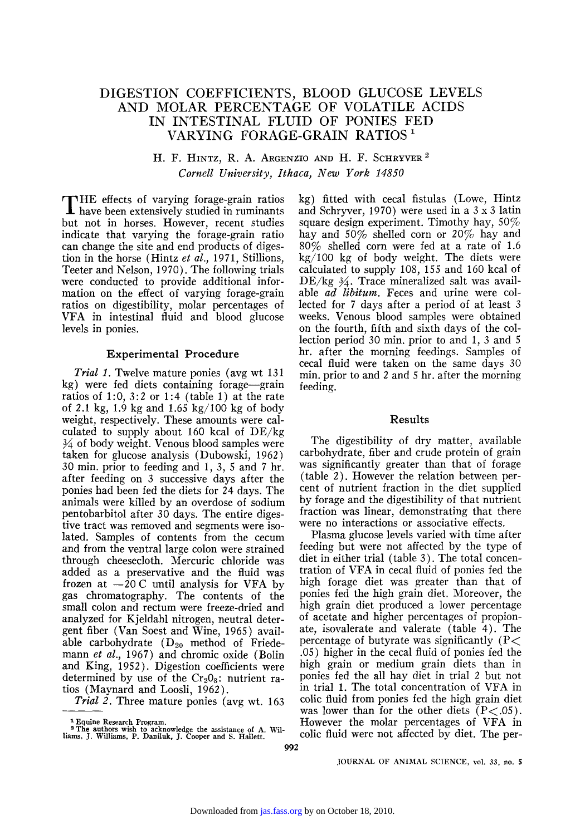## DIGESTION COEFFICIENTS, BLOOD GLUCOSE LEVELS AND MOLAR PERCENTAGE OF VOLATILE ACIDS IN INTESTINAL FLUID OF PONIES FED VARYING FORAGE-GRAIN RATIOS 1

### **H. F. HINTZ, R. A. ARGENZIO AND H. F. SCttRYVER 2**  *Corn'ell University, Ithaca, New York 14850*

**T** HE effects of varying forage-grain ratios have been extensively studied in ruminants but not in horses. However, recent studies indicate that varying the forage-grain ratio can change the site and end products of digestion in the horse (Hintz *et al.,* 1971, Stillions, Teeter and Nelson, 1970). The following trials were conducted to provide additional information on the effect of varying forage-grain ratios on digestibility, molar percentages of VFA in intestinal fluid and blood glucose levels in ponies.

### **Experimental Procedure**

*Trial 1.* Twelve mature ponies (avg wt 131 kg) were fed diets containing forage--grain ratios of 1:0,  $3:2$  or 1:4 (table 1) at the rate of 2.1 kg, 1.9 kg and 1.65 kg/100 kg of body weight, respectively. These amounts were calculated to supply about 160 kcal of  $DE/kg$  $\frac{3}{4}$  of body weight. Venous blood samples were taken for glucose analysis (Dubowski, 1962) 30 min. prior to feeding and 1, 3, 5 and 7 hr. after feeding on 3 successive days after the ponies had been fed the diets for 24 days. The animals were killed by an overdose of sodium pentobarbitol after 30 days. The entire digestive tract was removed and segments were isolated. Samples of contents from the cecum and from the ventral large colon were strained through cheesecloth. Mercuric chloride was added as a preservative and the fluid was frozen at  $-20$  C until analysis for VFA by gas chromatography. The contents of the small colon and rectum were freeze-dried and analyzed for Kjeldahl nitrogen, neutral detergent fiber (Van Soest and Wine, 1965) available carbohydrate  $(D_{20}$  method of Friedemann *et al.*, 1967) and chromic oxide (Bolin and King, 1952). Digestion coefficients were determined by use of the  $Cr<sub>2</sub>O<sub>3</sub>$ : nutrient ratios (Maynard and Loosli, 1962).

*Trial 2.* Three mature ponies (avg wt. 163

kg) fitted with cecal fistulas (Lowe, Hintz and Schryver, 1970) were used in a 3 x 3 latin square design experiment. Timothy hay,  $50\%$ hay and 50% shelled corn or 20% hay and 80% shelled corn were fed at a rate of 1.6 kg/100 kg of body weight. The diets were calculated to supply 108, 155 and 160 kcal of  $DE/kg \frac{3}{4}$ . Trace mineralized salt was available *ad libitum.* Feces and urine were collected for 7 days after a period of at least 3 weeks. Venous blood samples were obtained on the fourth, fifth and sixth days of the collection period 30 min. prior to and 1, 3 and 5 hr. after the morning feedings. Samples of cecal fluid were taken on the same days 30 min. prior to and 2 and 5 hr. after the morning feeding.

#### **Results**

The digestibility of dry matter, available carbohydrate, fiber and crude protein of grain was significantly greater than that of forage (table 2). However the relation between percent of nutrient fraction in the diet supplied by forage and the digestibility of that nutrient fraction was linear, demonstrating that there were no interactions or associative effects.

Plasma glucose levels varied with time after feeding but were not affected by the type of diet in either trial (table 3). The total concentration of VFA in cecal fluid of ponies fed the high forage diet was greater than that of ponies fed the high grain diet. Moreover, the high grain diet produced a lower percentage of acetate and higher percentages of propionate, isovalerate and valerate (table 4). The percentage of butyrate was significantly  $(P<$ .05) higher in the cecal fluid of ponies fed the high grain or medium grain diets than in ponies fed the all hay diet in trial 2 but not in trial 1. The total concentration of VFA in colic fluid from ponies fed the high grain diet was lower than for the other diets  $(P<.05)$ . However the molar percentages of VFA in colic fluid were not affected by diet. The per-

JOURNAL OF ANIMAL SCIENCE, vol. 33, no. 5

<sup>1</sup> Equine Research Program. a **The authors** wish to acknowledge the assistance of A. Wil-liams, 3. Williams, P. Daniluk, J. Cooper and S. Hallett.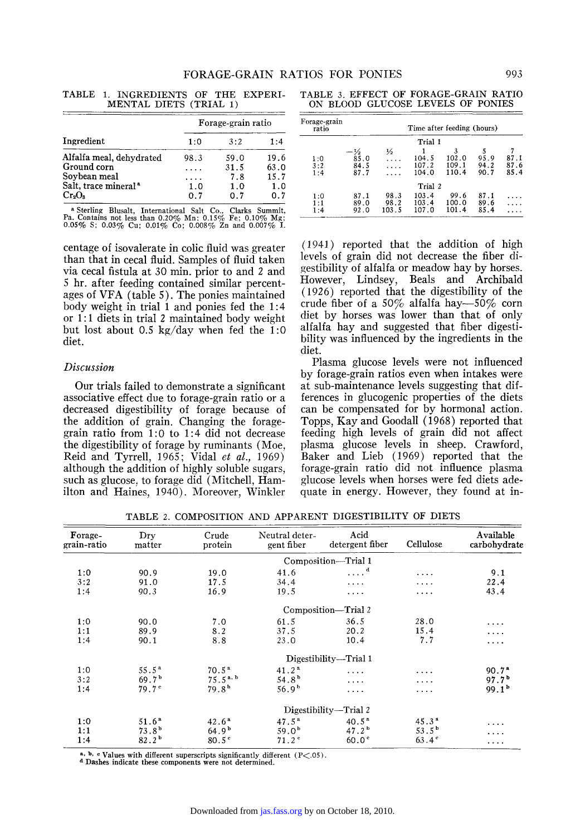|                                  | Forage-grain ratio |      |      |  |
|----------------------------------|--------------------|------|------|--|
| Ingredient                       | 1:0                | 3:2  | 1:4  |  |
| Alfalfa meal, dehydrated         | 98.3               | 59.0 | 19.6 |  |
| Ground corn                      |                    | 31.5 | 63.0 |  |
| Soybean meal                     |                    | 7.8  | 15.7 |  |
| Salt, trace mineral <sup>a</sup> | 1.0                | 1.0  | 1.0  |  |
| $Cr_2O_3$                        | ი 7                | 0. 7 | 0.7  |  |

TABLE 1. INGREDIENTS OF THE EXPERI-MENTAL DIETS (TRIAL 1)

a **Sterling Blusalt, International** Salt Co., **Clarks Summit,**  Pa. **Contains not less than 0.20% Mn:** 0.15% Fe; 0.10% Mg; 0.05% S; 0.03% Cu; 0.01% Co; 0.008% Zn and 0.007% I.

**centage of isovalerate in colic fluid was greater than that in cecal fluid. Samples of fluid taken via cecal fistula at 30 min. prior to and 2 and 5 hr. after feeding contained similar percentages of VFA (table 5). The ponies maintained body weight in trial 1 and ponies fed the 1:4 or 1 : 1 diets in trial 2 maintained body weight but lost about 0.5 kg/day when fed the 1:0 diet.** 

### *Discussion*

**Our trials failed to demonstrate a significant associative effect due to forage-grain ratio or a decreased digestibility of forage because of the addition of grain. Changing the foragegrain ratio from 1:0 to 1:4 did not decrease the digestibility of forage by ruminants (Moe, Reid and Tyrrell, 1965; Vidal** *et al.,* **1969) although the addition of highly soluble sugars, such as glucose, to forage did (Mitchell, Hamilton and Haines, 1940). Moreover, Winkler** 

TABLE 3. EFFECT OF FORAGE-GRAIN RATIO ON BLOOD GLUCOSE LEVELS OF PONIES

| Forage-grain<br>ratio |                      |                       | Time after feeding (hours) |                         |                      |                      |
|-----------------------|----------------------|-----------------------|----------------------------|-------------------------|----------------------|----------------------|
|                       |                      |                       | Trial 1                    |                         |                      |                      |
| 1:0<br>3:2<br>1:4     | 85.0<br>84.5<br>87.7 | ⅓                     | 104.5<br>107.2<br>104.0    | 102.0<br>109.1<br>110.4 | 95.9<br>94.2<br>90.7 | 87.1<br>87.6<br>85.4 |
|                       |                      |                       | Trial 2                    |                         |                      |                      |
| 1:0<br>1:1<br>1:4     | 87.1<br>89.0<br>92.0 | 98.3<br>98.2<br>103.5 | 103.4<br>103.4<br>107.0    | 99.6<br>100.0<br>101.4  | 87.1<br>89.6<br>85.4 |                      |

**(1941) reported that the addition of high levels of grain did not decrease the fiber digestibility of alfalfa or meadow hay by horses. However, Lindsey, Beals and Archibald (1926) reported that the digestibility of the**  crude fiber of a 50% alfalfa hay—50% corn **diet by horses was lower than that of only alfalfa hay and suggested that fiber digestibility was influenced by the ingredients in the diet.** 

**Plasma glucose levels were not influenced by forage-grain ratios even when intakes were at sub-maintenance levels suggesting that differences in glucogenic properties of the diets can be compensated for by hormonal action. Topps, Kay and Goodall (1968) reported that feeding high levels of grain did not affect plasma glucose levels in sheep. Crawford, Baker and Lieb (1969) reported that the forage-grain ratio did not influence plasma glucose levels when horses were fed diets adequate in energy. However, they found at in-**

**Forage- Dry Crude Neutral deter- Acid Available grain-ratio matter protein gent fiber detergent fiber Cellulose carbohydrate**  Composition---Trial 1<br>1.6 ....<sup>d</sup>  $1:0$  90.9 19.0 41.6 .... " .... 9.1  $3:2$  91.0 17.5  $34.4$  .... .... 22.4  $1:4$  90.3 16.9 19.5 .... .... 43.4 **Composition--Trial** 2 1:0 90.0 7.0 61.5 36.5 28.0  $\ldots$ 1:1 89.9 8.2 37.5 20.2 15.4  $\sim 100$  km s  $^{-1}$ 1:4 90.1 8.8 23.0 10.4 7.7  $\cdots$ **Digestibility--Trial** 1 1:0 55.5<sup>4</sup> 70.5<sup>4</sup> 41.2<sup>4</sup> .... .... 90.7<sup>4</sup>  $3:2$  69.7 b  $75.5$ <sup>a, b</sup>  $54.8$  b  $\ldots$   $07.7$  b  $97.7$  b 1:4  $79.7^{\circ}$   $79.8^{\circ}$   $56.9^{\circ}$  .... .... 99.1  $99.1^{\circ}$ **Digestibility--Trial** 2 1:0 51.6<sup>a</sup> 42.6<sup>a</sup> 47.5<sup>a</sup> 47.5<sup>a</sup> 40.5<sup>a</sup> 45.3<sup>a</sup>  $\cdots$ 1:1  $73.8^{\circ}$  64.9  $59.0^{\circ}$  47.2 53.5 b  $\ldots$  $1:4$  82.2 b 80.5 c  $71.2$  c  $60.0$   $63.4$  c  $\ldots$  .

TABLE 2. COMPOSITION AND APPARENT DIGESTIBILITY OF DIETS

a, b, c Values with different superscripts significantly different  $(P<.05)$ .

**a Dashes indicate these components were not determined.**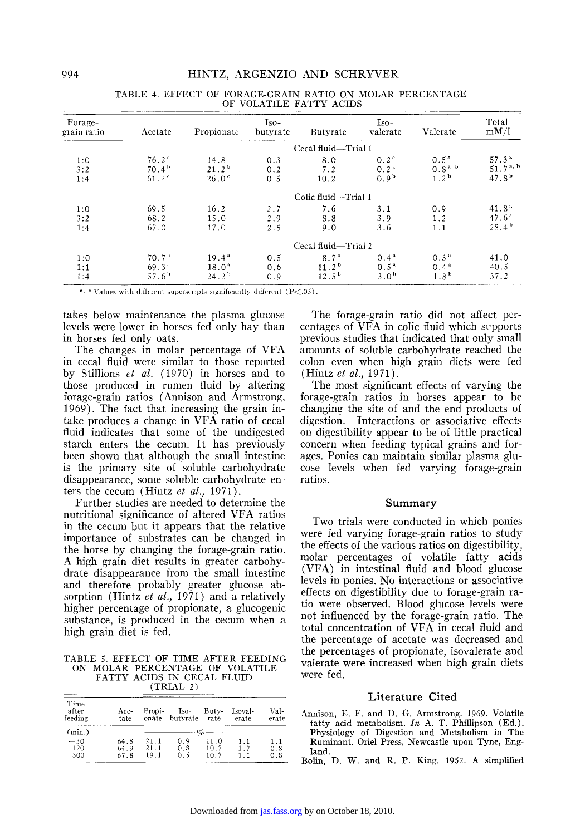| Forage-<br>grain ratio | Acetate                                                     | Propionate                                                  | $Iso-$<br>butyrate | Butyrate                                                  | $Iso-$<br>valerate                                       | Valerate                                                 | Total<br>mM/l                                                  |
|------------------------|-------------------------------------------------------------|-------------------------------------------------------------|--------------------|-----------------------------------------------------------|----------------------------------------------------------|----------------------------------------------------------|----------------------------------------------------------------|
|                        |                                                             |                                                             |                    | Cecal fluid-Trial 1                                       |                                                          |                                                          |                                                                |
| 1:0<br>3:2<br>1:4      | 76.2 <sup>a</sup><br>70.4 <sup>b</sup><br>$61.2^{\circ}$    | 14.8<br>21.2 <sup>b</sup><br>26.0 <sup>e</sup>              | 0.3<br>0.2<br>0.5  | 8.0<br>7.2<br>10.2                                        | 0.2 <sup>a</sup><br>0.2 <sup>a</sup><br>0.9 <sup>b</sup> | 0.5 <sup>a</sup><br>$0.8^{a, b}$<br>1.2 <sup>b</sup>     | 57.3 <sup>a</sup><br>51.7 <sup>a, b</sup><br>47.8 <sup>b</sup> |
|                        |                                                             |                                                             |                    | Colic fluid-Trial 1                                       |                                                          |                                                          |                                                                |
| 1:0<br>3:2<br>1:4      | 69.5<br>68.2<br>67.0                                        | 16.2<br>15.0<br>17.0                                        | 2.7<br>2.9<br>2.5  | 7.6<br>8.8<br>9.0                                         | 3.1<br>3.9<br>3.6                                        | 0.9<br>1.2<br>1.1                                        | 41.8 <sup>n</sup><br>47.6 <sup>a</sup><br>28.4 <sup>b</sup>    |
|                        |                                                             |                                                             |                    | Cecal fluid—Trial 2                                       |                                                          |                                                          |                                                                |
| 1:0<br>1:1<br>1:4      | 70.7 <sup>a</sup><br>69.3 <sup>4</sup><br>57.6 <sup>h</sup> | 19.4 <sup>a</sup><br>18.0 <sup>a</sup><br>24.2 <sup>h</sup> | 0.5<br>0.6<br>0.9  | 8.7 <sup>a</sup><br>$11.2^{\mathrm{b}}$<br>$12.5^{\circ}$ | 0.4 <sup>a</sup><br>$0.5^{\text{a}}$<br>3.0 <sup>b</sup> | 0.3 <sup>a</sup><br>0.4 <sup>a</sup><br>1.8 <sup>b</sup> | 41.0<br>40.5<br>37.2                                           |

|                         | TABLE 4. EFFECT OF FORAGE-GRAIN RATIO ON MOLAR PERCENTAGE |  |  |  |  |  |
|-------------------------|-----------------------------------------------------------|--|--|--|--|--|
| OF VOLATILE FATTY ACIDS |                                                           |  |  |  |  |  |

a, b Values with different superscripts significantly different  $(P<.05)$ .

takes below maintenance the plasma glucose levels were lower in horses fed only hay than in horses fed only oats.

The changes in molar percentage of VFA in cecal fluid were similar to those reported by Stillions et al. (1970) in horses and to those produced in rumen fluid by altering forage-grain ratios (Annison and Armstrong, 1969). The fact that increasing the grain intake produces a change in VFA ratio of cecal fluid indicates that some of the undigested starch enters the cecum. It has previously been shown that although the small intestine is the primary site of soluble carbohydrate disappearance, some soluble carbohydrate enters the cecum (Hintz et al., 1971).

Further studies are needed to determine the nutritional significance of altered VFA ratios in the cecum but it appears that the relative importance of substrates can be changed in the horse by changing the forage-grain ratio. A high grain diet results in greater carbohydrate disappearance from the small intestine and therefore probably greater glucose absorption (Hintz et al., 1971) and a relatively higher percentage of propionate, a glucogenic substance, is produced in the cecum when a high grain diet is fed.

TABLE 5. EFFECT OF TIME AFTER FEEDING ON MOLAR PERCENTAGE OF VOLATILE FATTY ACIDS IN CECAL FLUID  $(TRIAL 2)$ 

| Time<br>after<br>feeding | Ace-<br>tate                                | Propi-<br>onate      | Iso-<br>butyrate rate | Buty-                | Isoval-<br>erate | Val-<br>erate     |
|--------------------------|---------------------------------------------|----------------------|-----------------------|----------------------|------------------|-------------------|
| (min.)                   | $\sim$ $\sigma$ $\sim$ $\sim$ $\sim$ $\sim$ |                      |                       |                      |                  |                   |
| $-30$<br>120<br>300      | 64.8<br>64.9<br>67.8                        | 21.1<br>21.1<br>19.1 | 0. 9<br>0.8<br>0.5    | 11.0<br>10.7<br>10.7 | 1.1<br>17        | 1.1<br>0.8<br>0.8 |

The forage-grain ratio did not affect percentages of VFA in colic fluid which supports previous studies that indicated that only small amounts of soluble carbohydrate reached the colon even when high grain diets were fed (Hintz *et al.*, 1971).

The most significant effects of varying the forage-grain ratios in horses appear to be changing the site of and the end products of digestion. Interactions or associative effects on digestibility appear to be of little practical concern when feeding typical grains and forages. Ponies can maintain similar plasma glucose levels when fed varying forage-grain ratios.

#### Summary

Two trials were conducted in which ponies were fed varying forage-grain ratios to study the effects of the various ratios on digestibility, molar percentages of volatile fatty acids (VFA) in intestinal fluid and blood glucose levels in ponies. No interactions or associative effects on digestibility due to forage-grain ratio were observed. Blood glucose levels were not influenced by the forage-grain ratio. The total concentration of VFA in cecal fluid and the percentage of acetate was decreased and the percentages of propionate, isovalerate and valerate were increased when high grain diets were fed.

#### Literature Cited

- Annison, E. F. and D. G. Armstrong. 1969. Volatile fatty acid metabolism.  $In A. T.$  Phillipson (Ed.). Physiology of Digestion and Metabolism in The Ruminant. Oriel Press, Newcastle upon Tyne, England.
- Bolin, D. W. and R. P. King. 1952. A simplified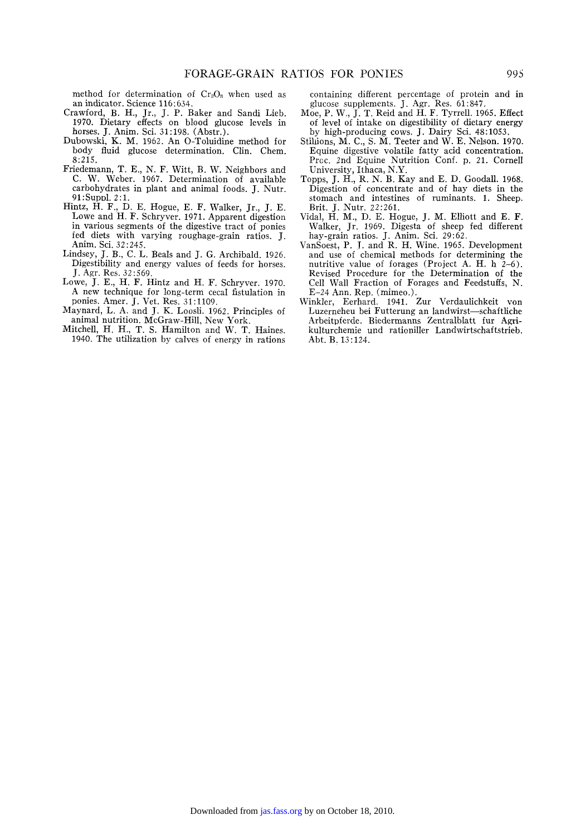method for determination of  $Cr_2O_3$  when used as an indicator. Science 116:634.

- Crawford, B. H., Jr., J. P. Baker and Sandi Lieb. 1970. Dietary effects on blood glucose levels in horses. J. Anim. Sci. 31:198. (Abstr.).
- Dubowski, K. M. 1962. An O-Toluidine method for body fluid glucose determination. Clin. Chem. 8:215.
- Friedemann, T. E., N. F. Witt, B. W. Neighbors and C. W. Weber. 1967. Determination of available carbohydrates in plant and animal foods. J. Nutr. 91 :Suppl. 2 : 1.
- Hintz, H. F., D. E. Hogue, E. F. Walker, Jr., J. E. Lowe and H. F. Schryver. 1971. Apparent digestion in various segments of the digestive tract of ponies fed diets with varying roughage-grain ratios. J. Anim. Sci. 32:245.
- Lindsey, J. B., C. L. Beals and J. G. Archibald. 1926. Digestibility and energy values of feeds for horses. J. Agr. Res. 32:569.
- Lowe, J. E., H. F. Hintz and H. F. Schryver. 1970. A new technique for long-term cecal fistulation in ponies. Amer. J. Vet. Res. 31:1109.
- Maynard, L. A. and J. K. Loosli. 1962. Principles of animal nutrition. McGraw-Hill, New York.
- Mitchell, H. H., T. S. Hamilton and W. T. Haines. 1940. The utilization by calves of energy in rations

containing different percentage of protein and in glucose supplements. J. Agr. Res. 61:847.

- Moe, P. W., J. T. Reid and H. F. Tyrrell. 1965. Effect of level of intake on digestibility of dietary energy by high-producing cows. J. Dairy Sci. 48:1053.
- Stihions, M. C., S. M. Teeter and W. E. Nelson. 1970. Equine digestive volatile fatty acid concentration. Proc. 2nd Equine Nutrition Conf. p. 21. Cornell University, Ithaca, N.Y.
- Topps, J. H., R. N. B. Kay and E. D. Goodall. 1968. Digestion of concentrate and of hay diets in the stomach and intestines of ruminants. 1. Sheep. Brit. J. Nutr. 22:261.
- Vidal, H. M., D. E. Hogue, J. M. Elliott and E. F. Walker, Jr. 1969. Digesta of sheep fed different hay-grain ratios. J. Anim. Sci. 29:62.
- VanSoest, P. 7. and R. H. Wine. 1965. Development and use of chemical methods for determining the nutritive value of forages (Project A. H. h 2-6). Revised Procedure for the Determination of the Cell Wall Fraction of Forages and Feedstuffs, N. E-24 Ann. Rep. (mimeo.).
- Winkler, Eerhard. 1941. Zur Verdaulichkeit von Luzerneheu bei Futterung an landwirst-schaftliche Arbeitpferde. Biedermanns Zentralblatt fur Agrikulturchemie und rationiller Landwirtsehaftstrieb. Abt. B. 13:124.